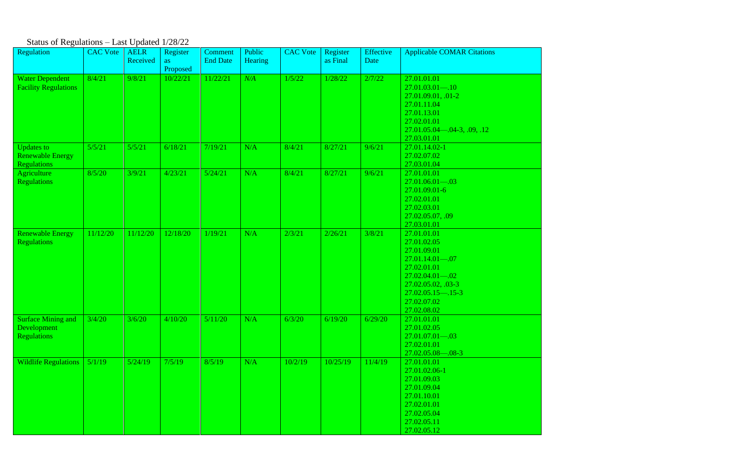## Status of Regulations – Last Updated 1/28/22

| Regulation                                                         | <b>CAC Vote</b> | <b>AELR</b><br>Received | Register<br>as | Comment<br><b>End Date</b> | Public<br><b>Hearing</b> | <b>CAC</b> Vote | Register<br>as Final | Effective<br>Date | <b>Applicable COMAR Citations</b>                                                                                                                                                   |
|--------------------------------------------------------------------|-----------------|-------------------------|----------------|----------------------------|--------------------------|-----------------|----------------------|-------------------|-------------------------------------------------------------------------------------------------------------------------------------------------------------------------------------|
|                                                                    |                 |                         | Proposed       |                            |                          |                 |                      |                   |                                                                                                                                                                                     |
| <b>Water Dependent</b><br><b>Facility Regulations</b>              | 8/4/21          | 9/8/21                  | 10/22/21       | 11/22/21                   | N/A                      | 1/5/22          | 1/28/22              | 2/7/22            | 27.01.01.01<br>$27.01.03.01 - .10$<br>27.01.09.01, .01-2<br>27.01.11.04<br>27.01.13.01<br>27.02.01.01<br>$27.01.05.04 - .04-3, .09, .12$<br>27.03.01.01                             |
| <b>Updates to</b><br><b>Renewable Energy</b><br><b>Regulations</b> | 5/5/21          | 5/5/21                  | 6/18/21        | 7/19/21                    | N/A                      | 8/4/21          | 8/27/21              | 9/6/21            | 27.01.14.02-1<br>27.02.07.02<br>27.03.01.04                                                                                                                                         |
| Agriculture<br><b>Regulations</b>                                  | 8/5/20          | 3/9/21                  | 4/23/21        | 5/24/21                    | N/A                      | 8/4/21          | 8/27/21              | 9/6/21            | 27.01.01.01<br>$27.01.06.01 - .03$<br>27.01.09.01-6<br>27.02.01.01<br>27.02.03.01<br>27.02.05.07, .09<br>27.03.01.01                                                                |
| <b>Renewable Energy</b><br><b>Regulations</b>                      | 11/12/20        | 11/12/20                | 12/18/20       | 1/19/21                    | N/A                      | 2/3/21          | 2/26/21              | 3/8/21            | 27.01.01.01<br>27.01.02.05<br>27.01.09.01<br>$27.01.14.01 - .07$<br>27.02.01.01<br>$27.02.04.01 - .02$<br>27.02.05.02, .03-3<br>$27.02.05.15 - .15-3$<br>27.02.07.02<br>27.02.08.02 |
| <b>Surface Mining and</b><br>Development<br><b>Regulations</b>     | 3/4/20          | 3/6/20                  | 4/10/20        | 5/11/20                    | N/A                      | 6/3/20          | 6/19/20              | 6/29/20           | 27.01.01.01<br>27.01.02.05<br>$27.01.07.01 - .03$<br>27.02.01.01<br>27.02.05.08-08-3                                                                                                |
| Wildlife Regulations $\vert 5/1/19 \vert$                          |                 | 5/24/19                 | 7/5/19         | 8/5/19                     | N/A                      | 10/2/19         | 10/25/19             | 11/4/19           | 27.01.01.01<br>27.01.02.06-1<br>27.01.09.03<br>27.01.09.04<br>27.01.10.01<br>27.02.01.01<br>27.02.05.04<br>27.02.05.11<br>27.02.05.12                                               |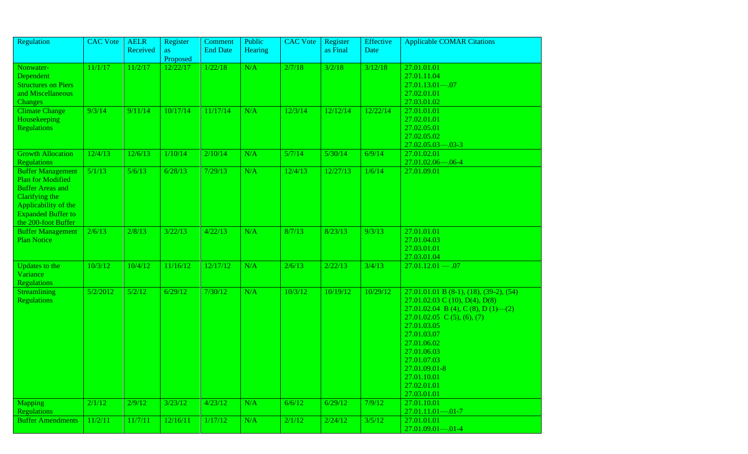| Regulation                                                                                                                                                                    | <b>CAC</b> Vote | <b>AELR</b><br>Received | Register       | Comment<br><b>End Date</b> | Public<br>Hearing | <b>CAC</b> Vote | Register<br>as Final | <b>Effective</b><br>Date | <b>Applicable COMAR Citations</b>                                                                                                                                                                                                                                                          |
|-------------------------------------------------------------------------------------------------------------------------------------------------------------------------------|-----------------|-------------------------|----------------|----------------------------|-------------------|-----------------|----------------------|--------------------------|--------------------------------------------------------------------------------------------------------------------------------------------------------------------------------------------------------------------------------------------------------------------------------------------|
|                                                                                                                                                                               |                 |                         | as<br>Proposed |                            |                   |                 |                      |                          |                                                                                                                                                                                                                                                                                            |
| Nonwater-<br>Dependent<br><b>Structures on Piers</b><br>and Miscellaneous<br><b>Changes</b>                                                                                   | 11/1/17         | 11/2/17                 | 12/22/17       | 1/22/18                    | N/A               | 2/7/18          | 3/2/18               | 3/12/18                  | 27.01.01.01<br>27.01.11.04<br>$27.01.13.01 - .07$<br>27.02.01.01<br>27.03.01.02                                                                                                                                                                                                            |
| <b>Climate Change</b><br>Housekeeping<br><b>Regulations</b>                                                                                                                   | 9/3/14          | 9/11/14                 | 10/17/14       | 11/17/14                   | N/A               | 12/3/14         | 12/12/14             | 12/22/14                 | 27.01.01.01<br>27.02.01.01<br>27.02.05.01<br>27.02.05.02<br>$27.02.05.03 - 0.03 - 3$                                                                                                                                                                                                       |
| <b>Growth Allocation</b><br><b>Regulations</b>                                                                                                                                | 12/4/13         | 12/6/13                 | 1/10/14        | 2/10/14                    | N/A               | 5/7/14          | 5/30/14              | 6/9/14                   | 27.01.02.01<br>27.01.02.06-06-4                                                                                                                                                                                                                                                            |
| <b>Buffer Management</b><br><b>Plan for Modified</b><br><b>Buffer Areas and</b><br>Clarifying the<br>Applicability of the<br><b>Expanded Buffer to</b><br>the 200-foot Buffer | 5/1/13          | 5/6/13                  | 6/28/13        | 7/29/13                    | N/A               | 12/4/13         | 12/27/13             | 1/6/14                   | 27.01.09.01                                                                                                                                                                                                                                                                                |
| <b>Buffer Management</b><br><b>Plan Notice</b>                                                                                                                                | 2/6/13          | 2/8/13                  | 3/22/13        | 4/22/13                    | N/A               | 8/7/13          | 8/23/13              | 9/3/13                   | 27.01.01.01<br>27.01.04.03<br>27.03.01.01<br>27.03.01.04                                                                                                                                                                                                                                   |
| Updates to the<br>Variance<br><b>Regulations</b>                                                                                                                              | 10/3/12         | 10/4/12                 | 11/16/12       | 12/17/12                   | N/A               | 2/6/13          | 2/22/13              | 3/4/13                   | $27.01.12.01 - .07$                                                                                                                                                                                                                                                                        |
| Streamlining<br><b>Regulations</b>                                                                                                                                            | 5/2/2012        | 5/2/12                  | 6/29/12        | 7/30/12                    | N/A               | 10/3/12         | 10/19/12             | 10/29/12                 | $27.01.01.01 B$ (8-1), (18), (39-2), (54)<br>27.01.02.03 C (10), D(4), D(8)<br>27.01.02.04 B (4), C (8), D (1)—(2)<br>27.01.02.05 C (5), (6), (7)<br>27.01.03.05<br>27.01.03.07<br>27.01.06.02<br>27.01.06.03<br>27.01.07.03<br>27.01.09.01-8<br>27.01.10.01<br>27.02.01.01<br>27.03.01.01 |
| <b>Mapping</b><br><b>Regulations</b>                                                                                                                                          | 2/1/12          | 2/9/12                  | 3/23/12        | 4/23/12                    | N/A               | 6/6/12          | 6/29/12              | 7/9/12                   | 27.01.10.01<br>$27.01.11.01 - 0.01 - 7$                                                                                                                                                                                                                                                    |
| <b>Buffer Amendments</b>                                                                                                                                                      | 11/2/11         | 11/7/11                 | 12/16/11       | 1/17/12                    | N/A               | 2/1/12          | 2/24/12              | 3/5/12                   | 27.01.01.01<br>$27.01.09.01 - 0.01 - 4$                                                                                                                                                                                                                                                    |